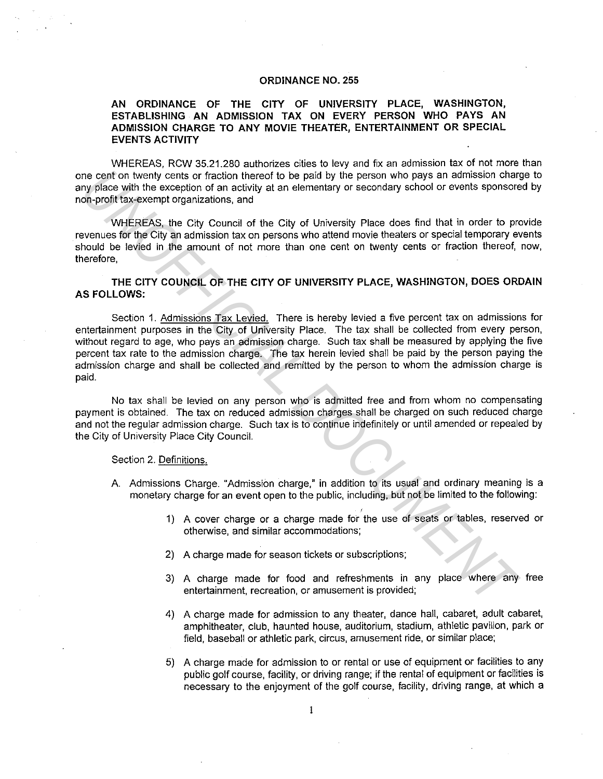## **ORDINANCE NO. 255**

# **AN ORDINANCE OF THE CITY OF UNIVERSITY PLACE, WASHINGTON, ESTABLISHING AN ADMISSION TAX ON EVERY PERSON WHO PAYS AN ADMISSION CHARGE TO ANY MOVIE THEATER, ENTERTAINMENT OR SPECIAL EVENTS ACTIVITY**

WHEREAS, RCW 35.21.280 authorizes cities to levy and fix an admission tax of not more than one cent on twenty cents or fraction thereof to be paid by the person who pays an admission charge to any place with the exception of an activity at an elementary or secondary school or events sponsored by non-profit tax-exempt organizations, and

WHEREAS, the City Council of the City of University Place does find that in order to provide revenues for the City an admission tax on persons who attend movie theaters or special temporary events should be levied in the amount of not more than one cent on twenty cents or fraction thereof, now, therefore,

**THE CITY COUNCIL OF THE CITY OF UNIVERSITY PLACE, WASHINGTON, DOES ORDAIN AS FOLLOWS:** 

Section 1. Admissions Tax Levied. There is hereby levied a five percent tax on admissions for entertainment purposes in the City of University Place. The tax shall be collected from every person, without regard to age, who pays an admission charge. Such tax shall be measured by applying the five percent tax rate to the admission charge. The tax herein levied shall be paid by the person paying the admission charge and shall be collected and remitted by the person to whom the admission charge is paid. ine cent on twenty cents of fraction thereof to be paid by the person who pays an admission charge of the method with the exception of an activity at an elementary or secondary school or events spansore<br>
2019 profit tax-ex

No tax shall be levied on any person who is admitted free and from whom no compensating payment is obtained. The tax on reduced admission charges shall be charged on such reduced charge and not the regular admission charge. Such tax is to continue indefinitely or until amended or repealed by the City of University Place City Council.

#### Section 2. Definitions.

- A Admissions Charge. "Admission charge," in addition to its usual and ordinary meaning is a monetary charge for an event open to the public, including, but not be limited to the following:
	- 1) A cover charge or a charge made for the use of seats or tables, reserved or otherwise, and similar accommodations;
	- 2) A charge made for season tickets or subscriptions;
	- 3) A charge made for food and refreshments in any place where any free entertainment, recreation, or amusement is provided;
	- 4) A charge made for admission to any theater, dance hall, cabaret, adult cabaret, amphitheater, club, haunted house, auditorium, stadium, athletic pavilion, park or field, baseball or athletic park, circus, amusement ride, or similar place;
	- 5) A charge made for admission to or rental or use of equipment or facilities to any public golf course, facility, or driving range; if the rental of equipment or facilities is necessary to the enjoyment of the golf course, facility, driving range, at which a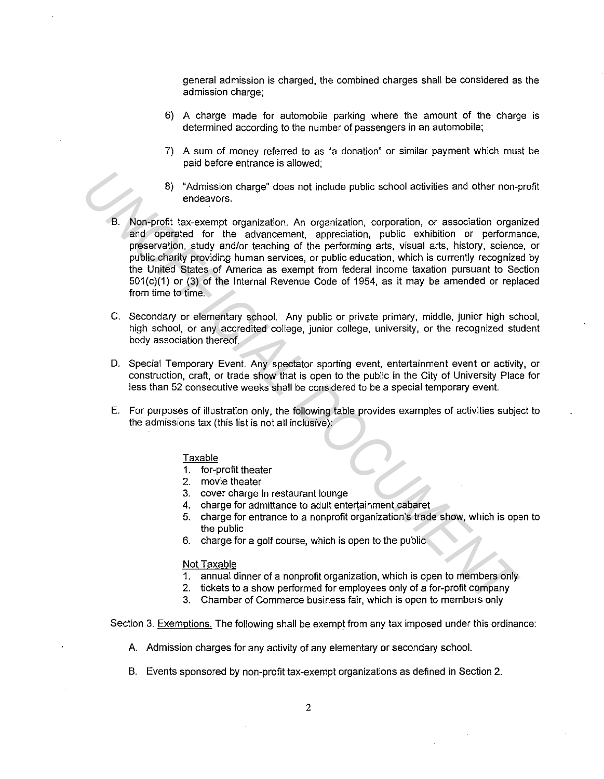general admission is charged, the combined charges shall be considered as the admission charge;

- 6) A charge made for automobile parking where the amount of the charge is determined according to the number of passengers in an automobile;
- 7) A sum of money referred to as "a donation" or similar payment which must be paid before entrance is allowed;
- 8) "Admission charge" does not include public school activities and other non-profit endeavors.
- B. Non-profit tax-exempt organization. An organization, corporation, or association organized and operated for the advancement, appreciation, public exhibition or performance, preservation, study and/or teaching of the performing arts, visual arts, history, science, or public charity providing human services, or public education, which is currently recognized by the United States of America as exempt from federal income taxation pursuant to Section 501(c)(1) or (3) of the Internal Revenue Code of 1954, as it may be amended or replaced from time to time. **EXAMPLE 12** Consecutive weeks shall be considered to the public of the public of the advancement, appreciation, or portion or performing and operated for the advancement, appreciation, public exhibition or performing the
	- C. Secondary or elementary school. Any public or private primary, middle, junior high school, high school, or any accredited college, junior college, university, or the recognized student body association thereof.
	- D. Special Temporary Event. Any spectator sporting event, entertainment event or activity, or construction, craft, or trade show that is open to the public in the City of University Place for less than 52 consecutive weeks shall be considered to be a special temporary event.
	- E. For purposes of illustration only, the following table provides examples of activities subject to the admissions tax (this list is not all inclusive):

#### Taxable

- 1. for-profit theater
- 2. movie theater
- 3. cover charge in restaurant lounge
- 4. charge for admittance to adult entertainment cabaret
- 5. charge for entrance to a nonprofit organization's trade show, which is open to the public
- 6. charge for a golf course, which is open to the public

## Not Taxable

- 1. annual dinner of a nonprofit organization, which is open to members only
- 2. tickets to a show performed for employees only of a for-profit company
- 3. Chamber of Commerce business fair, which is open to members only

Section 3. Exemptions. The following shall be exempt from any tax imposed under this ordinance:

- A. Admission charges for any activity of any elementary or secondary school.
- B. Events sponsored by non-profit tax-exempt organizations as defined in Section 2.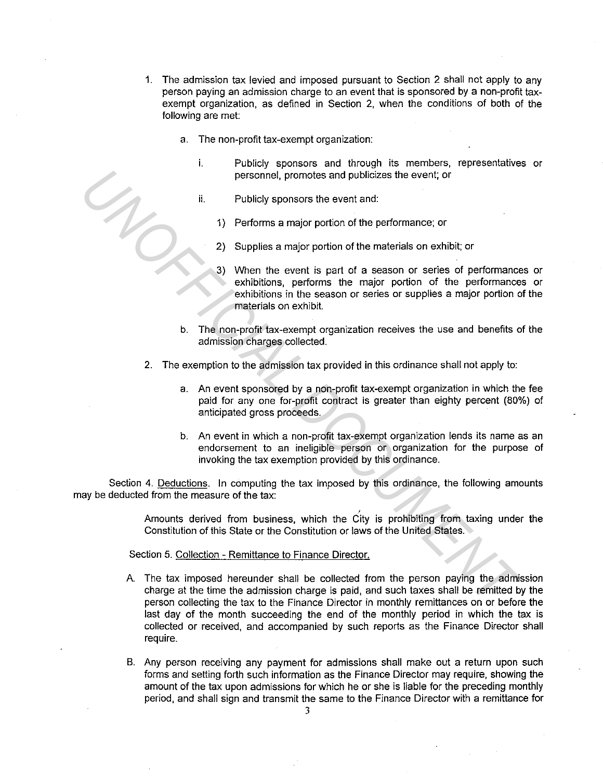- 1. The admission tax levied and imposed pursuant to Section 2 shall not apply to any person paying an admission charge to an event that is sponsored by a non-profit taxexempt organization, as defined in Section 2, when the conditions of both of the following are met:
	- a. The non-profit tax-exempt organization:
		- i. Publicly sponsors and through its members, representatives or personnel, promotes and publicizes the event; or
		- ii. Publicly sponsors the event and:
			- 1) Performs a major portion of the performance; or
			- 2) Supplies a major portion of the materials on exhibit; or
			- 3) When the event is part of a season or series of performances or exhibitions, performs the major portion of the performances or exhibitions in the season or series or supplies a major portion of the materials on exhibit.
	- b. The non-profit tax-exempt organization receives the use and benefits of the admission charges collected.
- 2. The exemption to the admission tax provided in this ordinance shall not apply to:
	- a. An event sponsored by a non-profit tax-exempt organization in which the fee paid for any one for-profit contract is greater than eighty percent (80%) of anticipated gross proceeds.
	- b. An event in which a non-profit tax-exempt organization lends its name as an endorsement to an ineligible person or organization for the purpose of invoking the tax exemption provided by this ordinance.

Section 4. Deductions. In computing the tax imposed by this ordinance, the following amounts may be deducted from the measure of the tax:

> ' Amounts derived from business, which the City is prohibiting from taxing under the Constitution of this State or the Constitution or laws of the United States.

Section 5. Collection - Remittance to Finance Director.

- A. The tax imposed hereunder shall be collected from the person paying the admission charge at the time the admission charge is paid, and such taxes shall be remitted by the person collecting the tax to the Finance Director in monthly remittances on or before the last day of the month succeeding the end of the monthly period in which the tax is collected or received, and accompanied by such reports as the Finance Director shall require. **Example 10** Personnel, promotes and publicizes the event, or<br> **EXECUTE AT THE TEAM COND**<br> **EXECUTE AT THE PERIMENT CONDUCT AT THE PERIMENT CONDUCT AND THE PERIMENT CONDUCT CONDUCT AND SUPPOSE SUPPORT CONDUCT AND SUPPORT C** 
	- B. Any person receiving any payment for admissions shall make out a return upon such forms and setting forth such information as the Finance Director may require, showing the amount of the tax upon admissions for which he or she is liable for the preceding monthly period, and shall sign and transmit the same to the Finance Director with a remittance for

3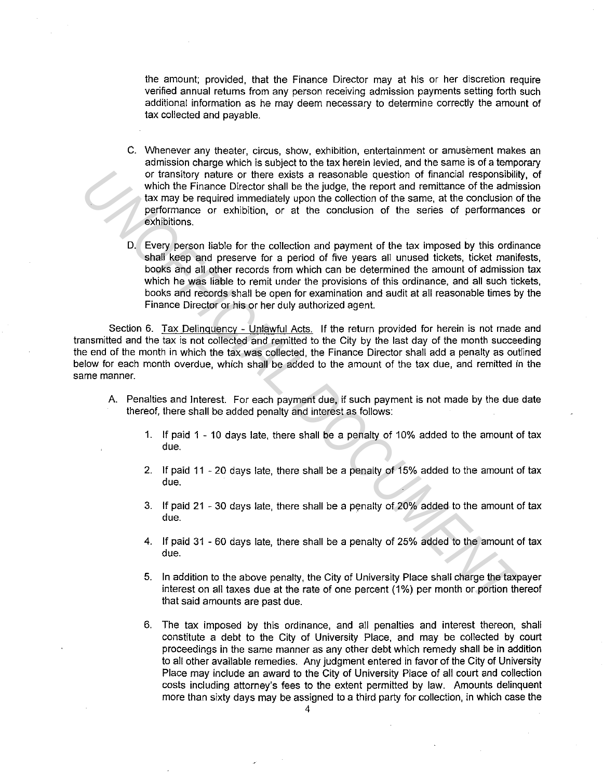the amount; provided, that the Finance Director may at his or her discretion require verified annual returns from any person receiving admission payments setting forth such additional information as he may deem necessary to determine correctly the amount of tax collected and payable.

- C. Whenever any theater, circus, show, exhibition, entertainment or amusement makes an admission charge which is subject to the tax herein levied, and the same is of a temporary or transitory nature or there exists a reasonable question of financial responsibility, of which the Finance Director shall be the judge, the report and remittance of the admission tax may be required immediately upon the collection of the same, at the conclusion of the performance or exhibition, or at the conclusion of the series of performances or exhibitions.
- D. Every person liable for the collection and payment of the tax imposed by this ordinance shall keep and preserve for a period of five years all unused tickets, ticket manifests, books and all other records from which can be determined the amount of admission tax which he was liable to remit under the provisions of this ordinance, and all such tickets, books and records shall be open for examination and audit at all reasonable times by the Finance Director or his or her duly authorized agent. or transition y nature or there exists a reasonable question of financial responsibility which the Finance Director shall be helpdge, the report and remittance of the stams are reported incredible to performance or exhibit

Section 6. Tax Delinquency - Unlawful Acts. If the return provided for herein is not made and transmitted and the tax is not collected and remitted to the City by the last day of the month succeeding the end of the month in which the tax was collected, the Finance Director shall add a penalty as outlined below for each month overdue, which shall be added to the amount of the tax due, and remitted in the same manner.

- A. Penalties and Interest. For each payment due, if such payment is not made by the due date thereof, there shall be added penalty and interest as follows:
	- 1. If paid 1 10 days late, there shall be a penalty of 10% added to the amount of tax due.
	- 2. If paid 11 20 days late, there shall be a penalty of 15% added to the amount of tax due.
	- 3. If paid 21 30 days late, there shall be a penalty of 20% added to the amount of tax due.
	- 4. If paid 31 60 days late, there shall be a penalty of 25% added to the amount of tax due.
	- 5. In addition to the above penalty, the City of University Place shall charge the taxpayer interest on all taxes due at the rate of one percent (1%) per month or portion thereof that said amounts are past due.
	- 6. The tax imposed by this ordinance, and all penalties and interest thereon, shall constitute a debt to the City of University Place, and may be collected by court proceedings in the same manner as any other debt which remedy shall be in addition to all other available remedies. Any judgment entered in favor of the City of University Place may include an award to the City of University Place of all court and collection costs including attorney's fees to the extent permitted by law. Amounts delinquent more than sixty days may be assigned to a third party for collection, in which case the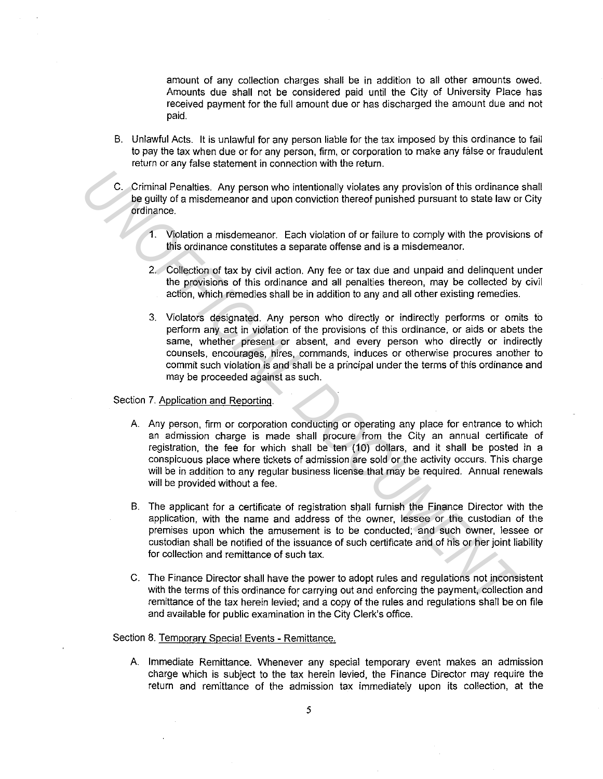amount of any collection charges shall be in addition to all other amounts owed. Amounts due shall not be considered paid until the City of University Place has received payment for the full amount due or has discharged the amount due and not paid.

- B. Unlawful Acts. It is unlawful for any person liable for the tax imposed by this ordinance to fail to pay the tax when due or for any person, firm, or corporation to make any false or fraudulent return or any false statement in connection with the return.
- C. Criminal Penalties. Any person who intentionally violates any provision of this ordinance shall be guilty of a misdemeanor and upon conviction thereof punished pursuant to state law or City ordinance.
	- 1. Violation a misdemeanor. Each violation of or failure to comply with the provisions of this ordinance constitutes a separate offense and is a misdemeanor.
	- 2. Collection of tax by civil action. Any fee or tax due and unpaid and delinquent under the provisions of this ordinance and all penalties thereon, may be collected by civil action, which remedies shall be in addition to any and all other existing remedies.
	- 3. Violators designated. Any person who directly or indirectly performs or omits fo perform any act in violation of the provisions of this ordinance, or aids or abets the same, whether present or absent, and every person who directly or indirectly counsels, encourages, hires, commands, induces or otherwise procures another to commit such violation is and shall be a principal under the terms of this ordinance and may be proceeded against as such.

### Section 7. Application and Reporting.

- A. Any person, firm or corporation conducting or operating any place for entrance to which an admission charge is made shall procure from the City an annual certificate of registration, the fee for which shall be ten (10) dollars, and it shall be posted in a conspicuous place where tickets of admission are sold or the activity occurs. This charge will be in addition to any regular business license that may be required. Annual renewals will be provided without a fee. C. Criminal Penalties. Any person who intentionally violates any provision of this ordinance<br>be guity of a misdemeanor and upon conviction thereof punished pursuant to state law or<br>production a misdemeanor. Each violation
	- B. The applicant for a certificate of registration shall furnish the Finance Director with the application, with the name and address of the owner, lessee or the custodian of the premises upon which the amusement is to be conducted; and such owner, lessee or custodian shall be notified of the issuance of such certificate and of his or her joint liability for collection and remittance of such tax.
	- C. The Finance Director shall have the power to adopt rules and regulations not inconsistent with the terms of this ordinance for carrying out and enforcing the payment, collection and remittance of the tax herein levied; and a copy of the rules and regulations shall be on file and available for public examination in the City Clerk's office.

### Section 8. Temporary Special Events - Remittance.

A. Immediate Remittance. Whenever any special temporary event makes an admission charge which is subject to the tax herein levied, the Finance Director may require the return and remittance of the admission tax immediately upon its collection, at the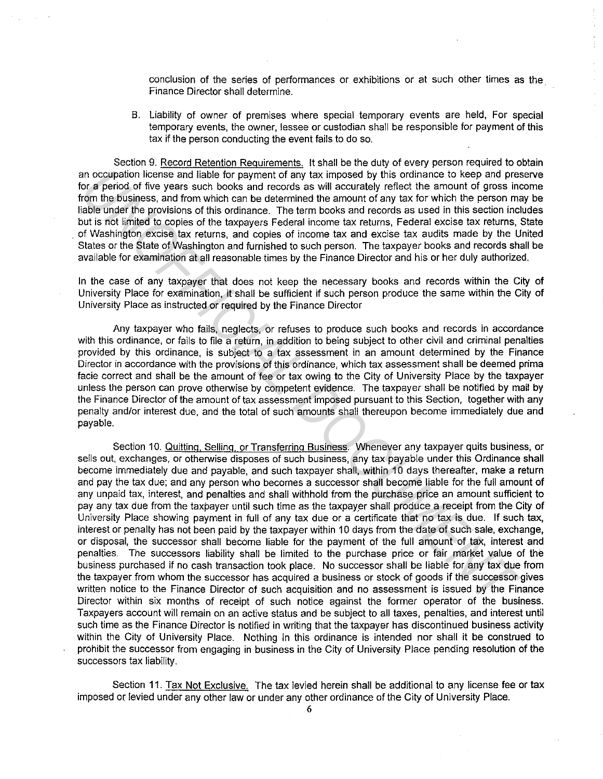conclusion of the series of performances or exhibitions or at such other times as the Finance Director shall determine.

B. Liability of owner of premises where special temporary events are held, For special temporary events, the owner, lessee or custodian shall be responsible for payment of this tax if the person conducting the event fails to do so.

Section 9. Record Retention Requirements. It shall be the duty of every person required to obtain an occupation license and liable for payment of any tax imposed by this ordinance to keep and preserve for a period of five years such books and records as will accurately refiect the amount of gross income from the business, and from which can be determined the amount of any tax for which the person may be liable under the provisions of this ordinance. The term books and records as used in this section includes but is not limited to copies of the taxpayers Federal income tax returns, Federal excise tax returns, State . of Washington excise tax returns, and copies of income tax and excise tax audits made by the United States or the State of Washington and furnished to such person. The taxpayer books and records shall be available for examination at all reasonable times by the Finance Director and his or her duly authorized.

In the case of any taxpayer that does not keep the necessary books and records within the City of University Place for examination, it shall be sufficient if such person produce the same within the City of University Place as instructed or required by the Finance Director

Any taxpayer who fails, neglects, or refuses to produce such books and records in accordance with this ordinance, or fails to file a return, in addition to being subject to other civil and criminal penalties provided by this ordinance, is subject to a tax assessment in an amount determined by the Finance Director in accordance with the provisions of this ordinance, which tax assessment shall be deemed prima facie correct and shall be the amount of fee or tax owing to the City of University Place by the taxpayer unless the person can prove otherwise by competent evidence. The taxpayer shall be notified by mail by the Finance Director of the amount of tax assessment imposed pursuant to this Section, together with any penalty and/or interest due, and the total of such amounts shall thereupon become immediately due and payable.

Section 10. Quitting, Selling, or Transferring Business. Whenever any taxpayer quits business, or sells out, exchanges, or otherwise disposes of such business, any tax payable under this Ordinance shall become immediately due and payable, and such taxpayer shall, within 10 days thereafter, make a return and pay the tax due; and any person who becomes a successor shall become liable for the full amount of any unpaid tax, interest, and penalties and shall withhold from the purchase price an amount sufficient to pay any tax due from the taxpayer until such time as the taxpayer shall produce a receipt from the City of University Place showing payment in full of any tax due or a certificate that no tax is due. If such tax, interest or penalty has not been paid by the taxpayer within 10 days from the date of such sale, exchange, or disposal, the successor shall become liable for the payment of the full amount of tax, interest and penalties. The successors liability shall be limited to the purchase price or fair market value of the business purchased if no cash transaction took place. No successor shall be liable for any tax due from the taxpayer from whom the successor has acquired a business or stock of goods if the successor gives written notice to the Finance Director of such acquisition and no assessment is issued by the Finance Director within six months of receipt of such notice against the former operator of the business. Taxpayers account will remain on an active status and be subject to all taxes, penalties, and interest until such time as the Finance Director is notified in writing that the taxpayer has discontinued business activity within the City of University Place. Nothing in this ordinance is intended nor shall it be construed to prohibit the successor from engaging in business in the City of University Place pending resolution of the successors tax liability. an occupation liberate and fiable for payrant of any tax imposed by this ordinance to keep and present and fiable or payrant of any tax most of a payrant of any tax most of a payrant of any tax most of the payrant of the a

Section 11. Tax Not Exclusive. The tax levied herein shall be additional to any license fee or tax imposed or levied under any other law or under any other ordinance of the City of University Place.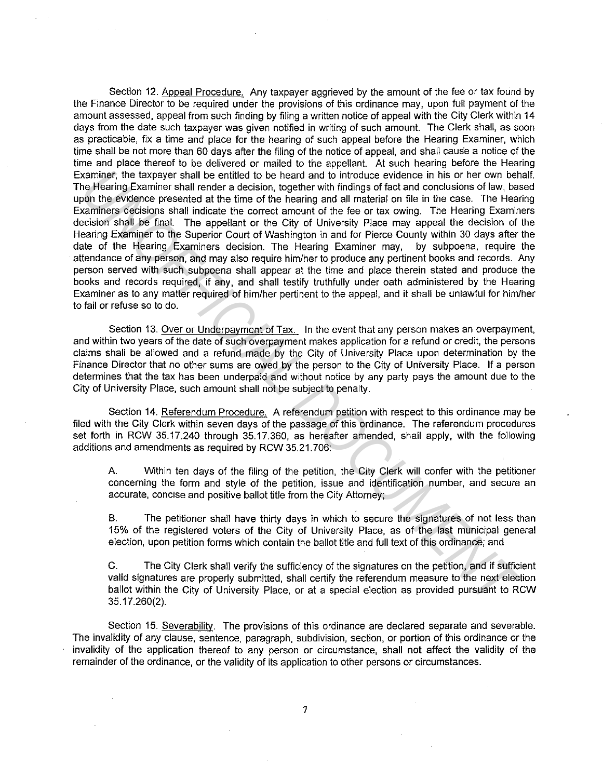Section 12. Appeal Procedure. Any taxpayer aggrieved by the amount of the fee or tax found by the Finance Director to be required under the provisions of this ordinance may, upon full payment of the amount assessed, appeal from such finding by filing a written notice of appeal with the City Clerk within 14 days from the date such taxpayer was given notified in writing of such amount. The Clerk shall, as soon as practicable, fix a time and place for the hearing of such appeal before the Hearing Examiner, which time shall be not more than 60 days after the filing of the notice of appeal, and shall cause a notice of the time and place thereof to be delivered or mailed to the appellant. At such hearing before the Hearing Examiner, the taxpayer shall be entitled to be heard and to introduce evidence in his or her own behalf. The Hearing Examiner shall render a decision, together with findings of fact and conclusions of law, based upon the evidence presented at the time of the hearing and all material on file in the case. The Hearing Examiners decisions shall indicate the correct amount of the fee or tax owing. The Hearing Examiners decision shall be final. The appellant or the City of University Place may appeal the decision of the Hearing Examiner to the Superior Court of Washington in and for Pierce County within 30 days after the date of the Hearing Examiners decision. The Hearing Examiner may, by subpoena, require the attendance of any person, and may also require him/her to produce any pertinent books and records. Any person served with such subpoena shall appear at the time and place therein stated and produce the books and records required, if any, and shall testify truthfully under oath administered by the Hearing Examiner as to any matter required of him/her pertinent to the appeal, and it shall be unlawful for him/her to fail or refuse so to do. xamines the taxpayer shall be entitled to be heard and to include evidence in his orien complete and a model in the matter of the twitch of the component entitle of the hearing Examines decisions shall indeter a decision,

Section 13. Over or Underpayment of Tax. In the event that any person makes an overpayment, and within two years of the date of such overpayment makes application for a refund or credit, the persons claims shall be allowed and a refund made by the City of University Place upon determination by the Finance Director that no other sums are owed by the person to the City of University Place. If a person determines that the tax has been underpaid and without notice by any party pays the amount due to the City of University Place, such amount shall not be subject to penalty.

Section 14. Referendum Procedure. A referendum petition with respect to this ordinance may be filed with the City Clerk within seven days of the passage of this ordinance. The referendum procedures set forth in RCW 35.17.240 through 35.17.360, as hereafter amended, shall apply, with the following additions and amendments as required by RCW 35.21.706:

A. Within ten days of the filing of the petition, the City Clerk will confer with the petitioner concerning the form and style of the petition, issue and identification number, and secure an accurate, concise and positive ballot title from the City Attorney;

B. The petitioner shall have thirty days in which to secure the signatures of not less than 15% of the registered voters of the City of University Place, as of the last municipal general election, upon petition forms which contain the ballot title and full text of this ordinance; and

C. The City Clerk shall verify the sufficiency of the signatures on the petition, and if sufficient valid signatures are properly submitted, shall certify the referendum measure to the next election ballot within the City of University Place, or at a special election as provided pursuant to RCW 35.17.260(2).

Section 15. Severability. The provisions of this ordinance are declared separate and severable. The invalidity of any clause, sentence, paragraph, subdivision, section, or portion of this ordinance or the invalidity of the application thereof to any person or circumstance, shall not affect the validity of the remainder of the ordinance, or the validity of its application to other persons or circumstances.